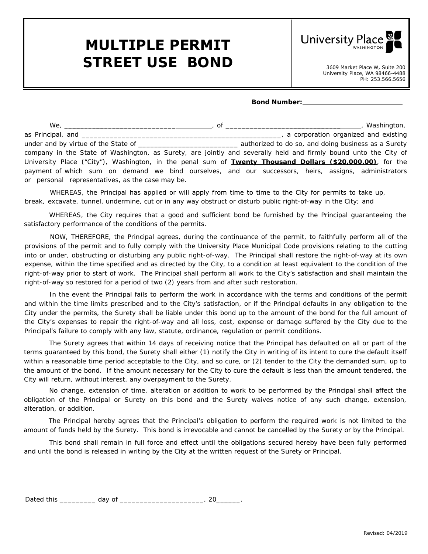## **MULTIPLE PERMIT** STREET USE BOND<br>3609 Market Place W, Suite 200



## **Bond Number:**

|                                                                                                                   | Washington,                          |
|-------------------------------------------------------------------------------------------------------------------|--------------------------------------|
|                                                                                                                   | a corporation organized and existing |
|                                                                                                                   |                                      |
| company in the State of Washington, as Surety, are jointly and severally held and firmly bound unto the City of   |                                      |
| University Place ("City"), Washington, in the penal sum of <b>Twenty Thousand Dollars (\$20,000.00)</b> , for the |                                      |
| payment of which sum on demand we bind ourselves, and our successors, heirs, assigns, administrators              |                                      |
| or personal representatives, as the case may be.                                                                  |                                      |

WHEREAS, the Principal has applied or will apply from time to time to the City for permits to take up, break, excavate, tunnel, undermine, cut or in any way obstruct or disturb public right-of-way in the City; and

WHEREAS, the City requires that a good and sufficient bond be furnished by the Principal guaranteeing the satisfactory performance of the conditions of the permits.

NOW, THEREFORE, the Principal agrees, during the continuance of the permit, to faithfully perform all of the provisions of the permit and to fully comply with the University Place Municipal Code provisions relating to the cutting into or under, obstructing or disturbing any public right-of-way. The Principal shall restore the right-of-way at its own expense, within the time specified and as directed by the City, to a condition at least equivalent to the condition of the right-of-way prior to start of work. The Principal shall perform all work to the City's satisfaction and shall maintain the right-of-way so restored for a period of two (2) years from and after such restoration.

In the event the Principal fails to perform the work in accordance with the terms and conditions of the permit and within the time limits prescribed and to the City's satisfaction, or if the Principal defaults in any obligation to the City under the permits, the Surety shall be liable under this bond up to the amount of the bond for the full amount of the City's expenses to repair the right-of-way and all loss, cost, expense or damage suffered by the City due to the Principal's failure to comply with any law, statute, ordinance, regulation or permit conditions.

The Surety agrees that within 14 days of receiving notice that the Principal has defaulted on all or part of the terms guaranteed by this bond, the Surety shall either (1) notify the City in writing of its intent to cure the default itself within a reasonable time period acceptable to the City, and so cure, or (2) tender to the City the demanded sum, up to the amount of the bond. If the amount necessary for the City to cure the default is less than the amount tendered, the City will return, without interest, any overpayment to the Surety.

No change, extension of time, alteration or addition to work to be performed by the Principal shall affect the obligation of the Principal or Surety on this bond and the Surety waives notice of any such change, extension, alteration, or addition.

The Principal hereby agrees that the Principal's obligation to perform the required work is not limited to the amount of funds held by the Surety. This bond is irrevocable and cannot be cancelled by the Surety or by the Principal.

This bond shall remain in full force and effect until the obligations secured hereby have been fully performed and until the bond is released in writing by the City at the written request of the Surety or Principal.